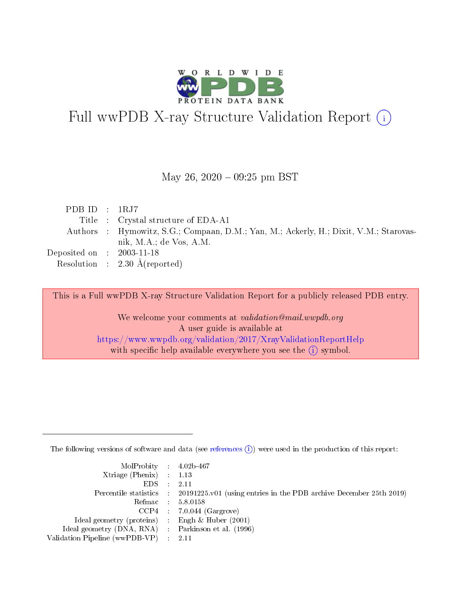

# Full wwPDB X-ray Structure Validation Report (i)

#### May 26,  $2020 - 09:25$  pm BST

| PDB ID : $1RJ7$                      |                                                                                       |
|--------------------------------------|---------------------------------------------------------------------------------------|
|                                      | Title : Crystal structure of EDA-A1                                                   |
|                                      | Authors : Hymowitz, S.G.; Compaan, D.M.; Yan, M.; Ackerly, H.; Dixit, V.M.; Starovas- |
|                                      | nik, M.A.; de Vos, A.M.                                                               |
| Deposited on $\therefore$ 2003-11-18 |                                                                                       |
|                                      | Resolution : $2.30 \text{ Å}$ (reported)                                              |

This is a Full wwPDB X-ray Structure Validation Report for a publicly released PDB entry.

We welcome your comments at validation@mail.wwpdb.org A user guide is available at <https://www.wwpdb.org/validation/2017/XrayValidationReportHelp> with specific help available everywhere you see the  $(i)$  symbol.

The following versions of software and data (see [references](https://www.wwpdb.org/validation/2017/XrayValidationReportHelp#references)  $(i)$ ) were used in the production of this report:

| MolProbity : 4.02b-467                              |                                                                                            |
|-----------------------------------------------------|--------------------------------------------------------------------------------------------|
| $Xtriangle (Phenix)$ : 1.13                         |                                                                                            |
| $EDS = 2.11$                                        |                                                                                            |
|                                                     | Percentile statistics : 20191225.v01 (using entries in the PDB archive December 25th 2019) |
|                                                     | Refmac : 5.8.0158                                                                          |
|                                                     | $CCP4$ 7.0.044 (Gargrove)                                                                  |
| Ideal geometry (proteins) : Engh $\&$ Huber (2001)  |                                                                                            |
| Ideal geometry (DNA, RNA) : Parkinson et al. (1996) |                                                                                            |
| Validation Pipeline (wwPDB-VP) : 2.11               |                                                                                            |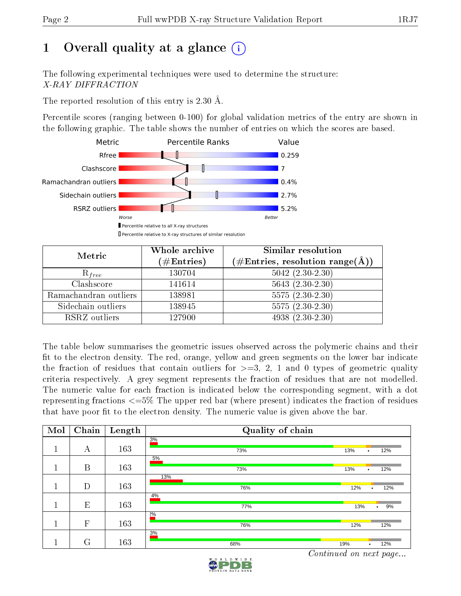## 1 [O](https://www.wwpdb.org/validation/2017/XrayValidationReportHelp#overall_quality)verall quality at a glance  $(i)$

The following experimental techniques were used to determine the structure: X-RAY DIFFRACTION

The reported resolution of this entry is 2.30 Å.

Percentile scores (ranging between 0-100) for global validation metrics of the entry are shown in the following graphic. The table shows the number of entries on which the scores are based.



| Metric                | Whole archive<br>$(\#\text{Entries})$ | Similar resolution<br>$(\#\text{Entries},\,\text{resolution}\,\,\text{range}(\textup{\AA}))$ |
|-----------------------|---------------------------------------|----------------------------------------------------------------------------------------------|
| $R_{free}$            | 130704                                | $5042 (2.30 - 2.30)$                                                                         |
| Clashscore            | 141614                                | $5643(2.30-2.30)$                                                                            |
| Ramachandran outliers | 138981                                | $5575(2.30-2.30)$                                                                            |
| Sidechain outliers    | 138945                                | $5575(2.30-2.30)$                                                                            |
| RSRZ outliers         | 127900                                | $4938(2.30-2.30)$                                                                            |

The table below summarises the geometric issues observed across the polymeric chains and their fit to the electron density. The red, orange, yellow and green segments on the lower bar indicate the fraction of residues that contain outliers for  $>=3, 2, 1$  and 0 types of geometric quality criteria respectively. A grey segment represents the fraction of residues that are not modelled. The numeric value for each fraction is indicated below the corresponding segment, with a dot representing fractions  $\epsilon=5\%$  The upper red bar (where present) indicates the fraction of residues that have poor fit to the electron density. The numeric value is given above the bar.

| Mol | Chain        | Length | Quality of chain |                         |
|-----|--------------|--------|------------------|-------------------------|
|     | А            | 163    | 3%<br>73%        | 13%<br>12%<br>$\bullet$ |
|     | B            | 163    | 5%<br>73%        | 13%<br>12%<br>٠         |
|     | D            | 163    | 13%<br>76%       | 12%<br>12%<br>$\bullet$ |
|     | E            | 163    | $4\%$<br>77%     | 13%<br>9%<br>٠          |
|     | $\mathbf{F}$ | 163    | 20/0<br>76%      | 12%<br>12%              |
|     | G            | 163    | 3%<br>68%        | 19%<br>12%<br>$\bullet$ |

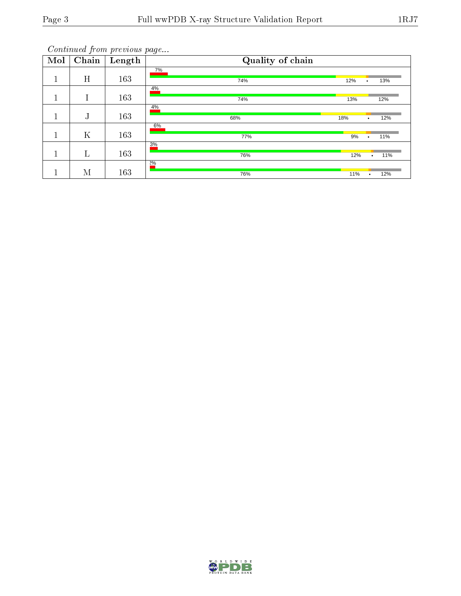| Mol    | Chain  | Length | Quality of chain |     |           |     |
|--------|--------|--------|------------------|-----|-----------|-----|
|        | H      | 163    | 7%<br>74%        | 12% | ۰         | 13% |
| п<br>ш | Т      | 163    | 4%<br>74%        | 13% |           | 12% |
| 1      | т<br>J | 163    | 4%<br>68%        | 18% | $\bullet$ | 12% |
| Щ      | K      | 163    | $6\%$<br>77%     | 9%  |           | 11% |
| 1      | L      | 163    | 3%<br>76%        | 12% | $\bullet$ | 11% |
|        | M      | 163    | 2%<br>76%        | 11% |           | 12% |

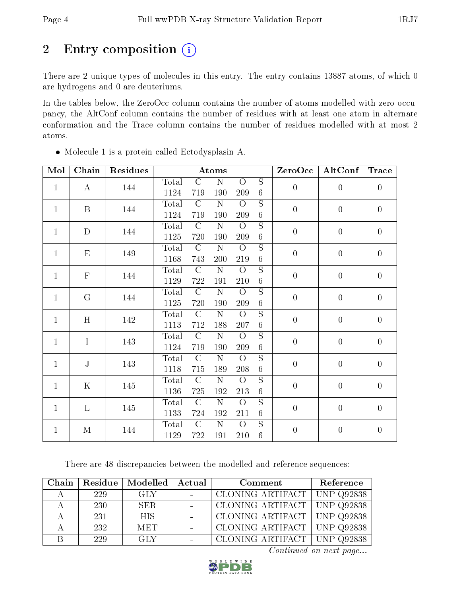## 2 Entry composition (i)

There are 2 unique types of molecules in this entry. The entry contains 13887 atoms, of which 0 are hydrogens and 0 are deuteriums.

In the tables below, the ZeroOcc column contains the number of atoms modelled with zero occupancy, the AltConf column contains the number of residues with at least one atom in alternate conformation and the Trace column contains the number of residues modelled with at most 2 atoms.

| Mol          | Chain        | Residues |       |                | Atoms              |                |                         | ZeroOcc          | AltConf          | <b>Trace</b>     |
|--------------|--------------|----------|-------|----------------|--------------------|----------------|-------------------------|------------------|------------------|------------------|
| $\mathbf{1}$ |              |          | Total | $\overline{C}$ | $\overline{\rm N}$ | $\overline{O}$ | $\overline{S}$          | $\overline{0}$   | $\boldsymbol{0}$ | $\boldsymbol{0}$ |
|              | $\bf{A}$     | 144      | 1124  | 719            | 190                | 209            | $\,6\,$                 |                  |                  |                  |
| $\mathbf{1}$ | $\mathbf{B}$ | 144      | Total | $\mathcal{C}$  | N                  | $\overline{O}$ | S                       | $\overline{0}$   | $\boldsymbol{0}$ | $\overline{0}$   |
|              |              |          | 1124  | 719            | 190                | 209            | $6\phantom{.}6$         |                  |                  |                  |
| $\mathbf{1}$ | $\mathbf D$  | 144      | Total | $\mathcal{C}$  | $\mathbf N$        | $\overline{O}$ | $\mathbf S$             | $\boldsymbol{0}$ | $\boldsymbol{0}$ | $\boldsymbol{0}$ |
|              |              |          | 1125  | 720            | 190                | 209            | $\,6\,$                 |                  |                  |                  |
| $\mathbf{1}$ | E            | 149      | Total | $\mathcal{C}$  | ${\bf N}$          | $\overline{O}$ | $\mathbf S$             | $\overline{0}$   | $\overline{0}$   | $\overline{0}$   |
|              |              |          | 1168  | 743            | 200                | 219            | $\,6$                   |                  |                  |                  |
| $\mathbf{1}$ | ${\bf F}$    | 144      | Total | $\mathcal{C}$  | $\mathbf N$        | $\overline{O}$ | $\mathbf S$             | $\overline{0}$   | $\boldsymbol{0}$ | $\overline{0}$   |
|              |              |          | 1129  | 722            | 191                | 210            | $\,6\,$                 |                  |                  |                  |
| $\mathbf{1}$ | G            | 144      | Total | $\mathcal{C}$  | $\mathbf N$        | $\overline{O}$ | $\overline{S}$          | $\overline{0}$   | $\boldsymbol{0}$ | $\overline{0}$   |
|              |              |          | 1125  | 720            | 190                | 209            | $\,6$                   |                  |                  |                  |
| $\mathbf{1}$ | H            | 142      | Total | $\mathcal{C}$  | $\mathbf N$        | $\overline{O}$ | $\overline{S}$          | $\boldsymbol{0}$ | $\overline{0}$   | $\overline{0}$   |
|              |              |          | 1113  | 712            | 188                | 207            | $\,6$                   |                  |                  |                  |
| $\mathbf{1}$ | $\mathbf I$  | 143      | Total | $\mathcal{C}$  | $\overline{\rm N}$ | $\overline{O}$ | $\overline{S}$          | $\overline{0}$   | $\boldsymbol{0}$ | $\overline{0}$   |
|              |              |          | 1124  | 719            | 190                | 209            | $\,6\,$                 |                  |                  |                  |
| $\mathbf{1}$ | $\mathbf{J}$ | 143      | Total | $\overline{C}$ | $\overline{\rm N}$ | $\overline{O}$ | $\overline{\mathrm{s}}$ | $\overline{0}$   | $\boldsymbol{0}$ | $\overline{0}$   |
|              |              |          | 1118  | 715            | 189                | 208            | $\,6$                   |                  |                  |                  |
| $\mathbf{1}$ | $\mathbf K$  | 145      | Total | $\overline{C}$ | $\overline{\rm N}$ | $\overline{O}$ | $\overline{\mathrm{s}}$ | $\boldsymbol{0}$ | $\boldsymbol{0}$ | $\overline{0}$   |
|              |              |          | 1136  | 725            | 192                | 213            | $\,6$                   |                  |                  |                  |
| $\mathbf{1}$ | $\mathbf{L}$ | 145      | Total | $\mathcal{C}$  | N                  | $\overline{O}$ | $\overline{S}$          | $\overline{0}$   | $\boldsymbol{0}$ | $\overline{0}$   |
|              |              |          | 1133  | 724            | 192                | 211            | $\sqrt{6}$              |                  |                  |                  |
| $\mathbf{1}$ | М            | 144      | Total | $\mathcal{C}$  | $\mathbf N$        | $\overline{O}$ | $\overline{S}$          | $\boldsymbol{0}$ | $\boldsymbol{0}$ | $\boldsymbol{0}$ |
|              |              |          | 1129  | 722            | 191                | 210            | $6\,$                   |                  |                  |                  |

Molecule 1 is a protein called Ectodysplasin A.

There are 48 discrepancies between the modelled and reference sequences:

| Chain | Residue | Modelled   | Actual | Comment                       | Reference |
|-------|---------|------------|--------|-------------------------------|-----------|
|       | 229     | GLY.       |        | CLONING ARTIFACT   UNP Q92838 |           |
|       | -230-   | SER.       |        | CLONING ARTIFACT   UNP Q92838 |           |
|       | 231     | <b>HIS</b> |        | CLONING ARTIFACT   UNP Q92838 |           |
|       | 232     | <b>MET</b> |        | CLONING ARTIFACT   UNP Q92838 |           |
|       | 229     | <b>GLY</b> |        | CLONING ARTIFACT   UNP Q92838 |           |

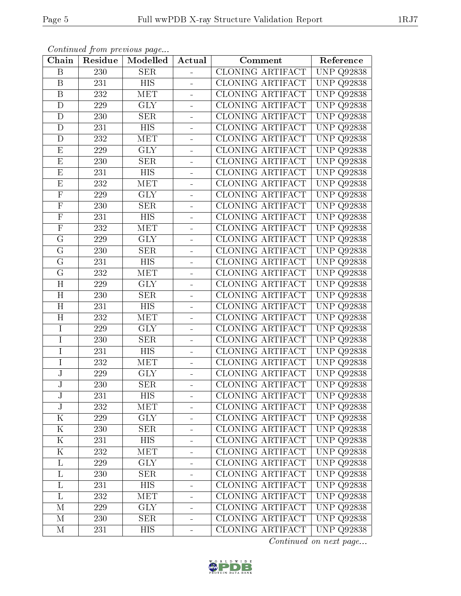| Chain                   | Residue | Modelled         | Actual                   | Comment                 | Reference            |
|-------------------------|---------|------------------|--------------------------|-------------------------|----------------------|
| B                       | 230     | <b>SER</b>       |                          | <b>CLONING ARTIFACT</b> | <b>UNP Q92838</b>    |
| $\mathbf B$             | 231     | <b>HIS</b>       |                          | CLONING ARTIFACT        | UNP<br>Q92838        |
| $\mathbf B$             | 232     | MET              | $\blacksquare$           | CLONING ARTIFACT        | UNP<br>Q92838        |
| $\mathbf D$             | 229     | <b>GLY</b>       |                          | CLONING ARTIFACT        | UNP<br>Q92838        |
| D                       | 230     | <b>SER</b>       |                          | <b>CLONING ARTIFACT</b> | UNP<br>Q92838        |
| D                       | 231     | HIS              |                          | CLONING ARTIFACT        | <b>UNP</b><br>Q92838 |
| $\mathbf D$             | 232     | <b>MET</b>       |                          | CLONING ARTIFACT        | <b>UNP</b><br>Q92838 |
| $\overline{\mathrm{E}}$ | 229     | <b>GLY</b>       |                          | <b>CLONING ARTIFACT</b> | <b>UNP</b><br>Q92838 |
| $\mathbf{E}% _{0}$      | 230     | <b>SER</b>       | $\overline{\phantom{0}}$ | <b>CLONING ARTIFACT</b> | <b>UNP</b><br>Q92838 |
| E                       | 231     | $\overline{HIS}$ | $\overline{a}$           | CLONING ARTIFACT        | <b>UNP</b><br>Q92838 |
| E                       | 232     | MET              | ä,                       | <b>CLONING ARTIFACT</b> | <b>UNP</b><br>Q92838 |
| $\overline{\mathrm{F}}$ | 229     | <b>GLY</b>       |                          | CLONING ARTIFACT        | UNP<br>Q92838        |
| $\overline{F}$          | 230     | <b>SER</b>       | $\frac{1}{2}$            | <b>CLONING ARTIFACT</b> | <b>UNP</b><br>Q92838 |
| ${\bf F}$               | 231     | <b>HIS</b>       |                          | CLONING ARTIFACT        | UNP<br>Q92838        |
| $\overline{\mathrm{F}}$ | 232     | MET              |                          | CLONING ARTIFACT        | <b>UNP</b><br>Q92838 |
| G                       | 229     | <b>GLY</b>       |                          | CLONING ARTIFACT        | UNP<br>Q92838        |
| $\overline{G}$          | 230     | <b>SER</b>       |                          | CLONING ARTIFACT        | UNP<br>Q92838        |
| G                       | 231     | HIS              | $\blacksquare$           | CLONING ARTIFACT        | UNP<br>Q92838        |
| G                       | 232     | MET              |                          | CLONING ARTIFACT        | UNP<br>Q92838        |
| H                       | 229     | <b>GLY</b>       | $\blacksquare$           | <b>CLONING ARTIFACT</b> | UNP<br>Q92838        |
| H                       | 230     | <b>SER</b>       |                          | CLONING ARTIFACT        | <b>UNP</b><br>Q92838 |
| H                       | 231     | $\overline{HIS}$ | $\blacksquare$           | CLONING ARTIFACT        | <b>UNP</b><br>Q92838 |
| H                       | 232     | <b>MET</b>       |                          | CLONING ARTIFACT        | <b>UNP</b><br>Q92838 |
| I                       | 229     | <b>GLY</b>       |                          | CLONING ARTIFACT        | <b>UNP</b><br>Q92838 |
| I                       | 230     | <b>SER</b>       |                          | <b>CLONING ARTIFACT</b> | <b>UNP</b><br>Q92838 |
| I                       | 231     | HIS              |                          | <b>CLONING ARTIFACT</b> | <b>UNP</b><br>Q92838 |
| $\overline{I}$          | 232     | MET              | $\overline{a}$           | CLONING ARTIFACT        | <b>UNP</b><br>Q92838 |
| J                       | 229     | <b>GLY</b>       | ÷                        | CLONING ARTIFACT        | <b>UNP</b><br>Q92838 |
| J                       | 230     | SER              | $\blacksquare$           | CLONING ARTIFACT        | <b>UNP</b><br>Q92838 |
| $\bf J$                 | 231     | $\overline{HIS}$ | $\blacksquare$           | CLONING ARTIFACT        | <b>UNP Q92838</b>    |
| J                       | 232     | MET              |                          | CLONING ARTIFACT        | <b>UNP Q92838</b>    |
| K                       | 229     | <b>GLY</b>       | $\blacksquare$           | CLONING ARTIFACT        | <b>UNP Q92838</b>    |
| $\mathbf K$             | 230     | <b>SER</b>       |                          | CLONING ARTIFACT        | <b>UNP Q92838</b>    |
| Κ                       | 231     | <b>HIS</b>       |                          | CLONING ARTIFACT        | <b>UNP Q92838</b>    |
| K                       | 232     | <b>MET</b>       |                          | CLONING ARTIFACT        | <b>UNP Q92838</b>    |
| L                       | 229     | <b>GLY</b>       |                          | CLONING ARTIFACT        | UNP Q92838           |
| L                       | 230     | <b>SER</b>       |                          | CLONING ARTIFACT        | <b>UNP Q92838</b>    |
| $\Gamma$                | 231     | <b>HIS</b>       |                          | CLONING ARTIFACT        | <b>UNP Q92838</b>    |
| L                       | 232     | <b>MET</b>       |                          | CLONING ARTIFACT        | <b>UNP Q92838</b>    |
| М                       | 229     | <b>GLY</b>       |                          | CLONING ARTIFACT        | <b>UNP Q92838</b>    |
| М                       | 230     | <b>SER</b>       |                          | CLONING ARTIFACT        | <b>UNP Q92838</b>    |
| М                       | 231     | <b>HIS</b>       |                          | CLONING ARTIFACT        | <b>UNP Q92838</b>    |

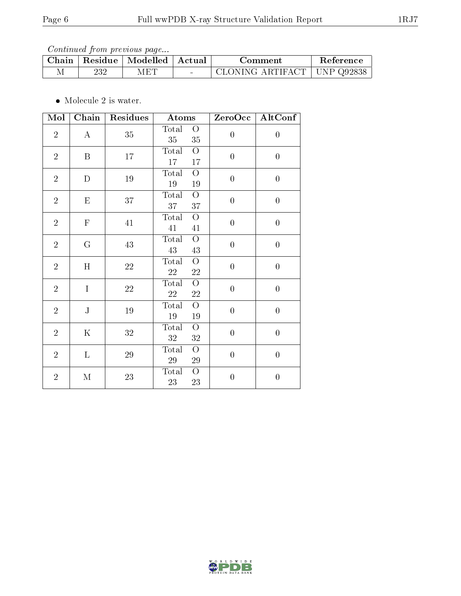| Chain | Residue | $\parallel$ Modelled $\parallel$ Actual | ∴omment                       | Reference |
|-------|---------|-----------------------------------------|-------------------------------|-----------|
|       | າາ ດ    | MET                                     | CLONING ARTIFACT   UNP Q92838 |           |

 $\bullet\,$  Molecule 2 is water.

| Mol            | Chain        | Residues | Atoms                                            | ZeroOcc          | AltConf          |
|----------------|--------------|----------|--------------------------------------------------|------------------|------------------|
| $\overline{2}$ | $\bf{A}$     | 35       | Total<br>$\overline{O}$<br>35<br>35              | $\overline{0}$   | $\overline{0}$   |
| $\overline{2}$ | $\, {\bf B}$ | 17       | Total<br>$\overline{O}$<br>$17\,$<br>$17\,$      | $\boldsymbol{0}$ | $\boldsymbol{0}$ |
| $\sqrt{2}$     | D            | $19\,$   | Total<br>$\overline{O}$<br>$19\,$<br>$19\,$      | $\boldsymbol{0}$ | $\boldsymbol{0}$ |
| $\sqrt{2}$     | E            | 37       | Total<br>$\overline{O}$<br>37<br>37              | $\boldsymbol{0}$ | $\boldsymbol{0}$ |
| $\sqrt{2}$     | $\mathbf F$  | 41       | Total<br>$\overline{O}$<br>41<br>41              | $\boldsymbol{0}$ | $\boldsymbol{0}$ |
| $\overline{2}$ | G            | 43       | Total<br>$\overline{O}$<br>$43\,$<br>43          | $\boldsymbol{0}$ | $\boldsymbol{0}$ |
| $\overline{2}$ | H            | $22\,$   | Total<br>$\overline{O}$<br>22<br>22              | $\boldsymbol{0}$ | $\boldsymbol{0}$ |
| $\overline{2}$ | $\mathbf I$  | $22\,$   | Total<br>$\overline{O}$<br>$\sqrt{22}$<br>$22\,$ | $\boldsymbol{0}$ | $\boldsymbol{0}$ |
| $\overline{2}$ | ${\bf J}$    | 19       | Total<br>$\bigcirc$<br>$19\,$<br>$19\,$          | $\boldsymbol{0}$ | $\boldsymbol{0}$ |
| $\overline{2}$ | $\mathbf K$  | $32\,$   | Total<br>$\overline{O}$<br>$32\,$<br>$32\,$      | $\boldsymbol{0}$ | $\boldsymbol{0}$ |
| $\overline{2}$ | L            | $29\,$   | Total<br>$\overline{O}$<br>$29\,$<br>$\,29$      | $\boldsymbol{0}$ | $\boldsymbol{0}$ |
| $\overline{2}$ | $\mathbf{M}$ | $23\,$   | Total<br>$\overline{O}$<br>$23\,$<br>$23\,$      | $\overline{0}$   | $\overline{0}$   |

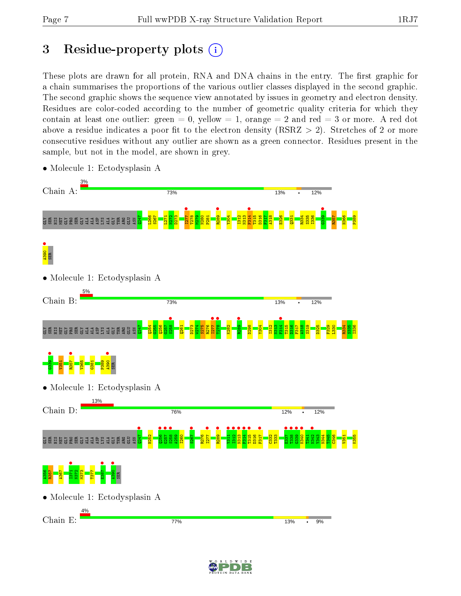# 3 Residue-property plots  $(i)$

These plots are drawn for all protein, RNA and DNA chains in the entry. The first graphic for a chain summarises the proportions of the various outlier classes displayed in the second graphic. The second graphic shows the sequence view annotated by issues in geometry and electron density. Residues are color-coded according to the number of geometric quality criteria for which they contain at least one outlier: green  $= 0$ , yellow  $= 1$ , orange  $= 2$  and red  $= 3$  or more. A red dot above a residue indicates a poor fit to the electron density (RSRZ  $> 2$ ). Stretches of 2 or more consecutive residues without any outlier are shown as a green connector. Residues present in the sample, but not in the model, are shown in grey.



• Molecule 1: Ectodysplasin A

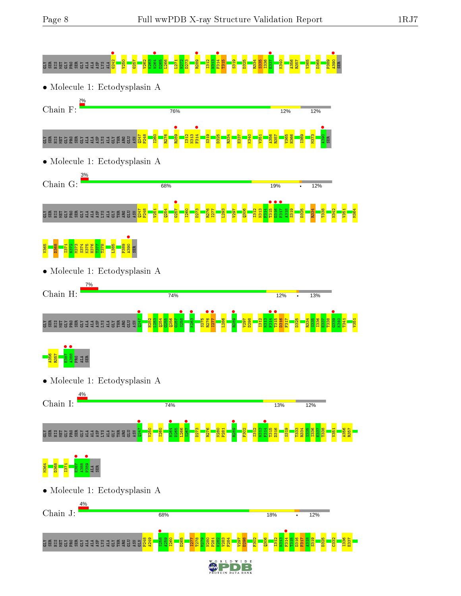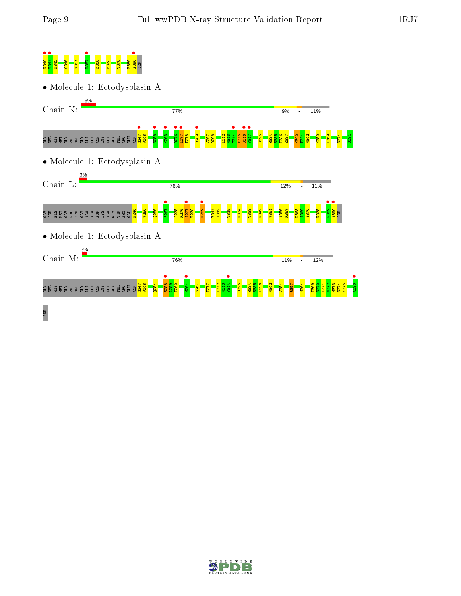

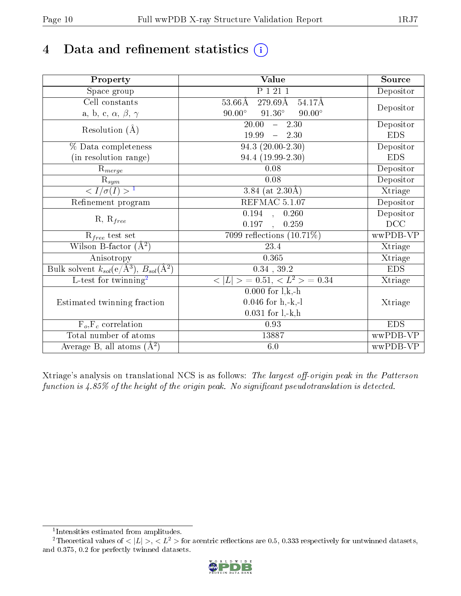# 4 Data and refinement statistics  $(i)$

| Property                                                         | Value                                             | Source     |
|------------------------------------------------------------------|---------------------------------------------------|------------|
| Space group                                                      | P 1 21 1                                          | Depositor  |
| $\overline{\text{Cell}}$ constants                               | $53.66\text{\AA}$<br>279.69Å<br>$54.17\text{\AA}$ |            |
| a, b, c, $\alpha$ , $\beta$ , $\gamma$                           | $90.00^{\circ}$ $91.36^{\circ}$<br>$90.00^\circ$  | Depositor  |
| Resolution $(\AA)$                                               | $\overline{20.00}$ - 2.30                         | Depositor  |
|                                                                  | 19.99<br>$-2.30$                                  | <b>EDS</b> |
| % Data completeness                                              | $94.3(20.00-2.30)$                                | Depositor  |
| (in resolution range)                                            | 94.4 (19.99-2.30)                                 | <b>EDS</b> |
| $R_{merge}$                                                      | 0.08                                              | Depositor  |
| $\bar{\mathbf{R}}_{\underline{sym}}$                             | 0.08                                              | Depositor  |
| $\sqrt{I/\sigma(I)} > 1$                                         | 3.84 (at $2.30\text{\AA}$ )                       | Xtriage    |
| Refinement program                                               | REFMAC 5.1.07                                     | Depositor  |
| $R, R_{free}$                                                    | 0.194, 0.260                                      | Depositor  |
|                                                                  | 0.197,<br>0.259                                   | DCC        |
| $R_{free}$ test set                                              | 7099 reflections $(10.71\%)$                      | wwPDB-VP   |
| Wilson B-factor $(A^2)$                                          | 23.4                                              | Xtriage    |
| Anisotropy                                                       | 0.365                                             | Xtriage    |
| Bulk solvent $k_{sol}(\text{e}/\text{A}^3), B_{sol}(\text{A}^2)$ | $0.34$ , $39.2$                                   | <b>EDS</b> |
| $\overline{L-test for }$ twinning <sup>2</sup>                   | $< L >$ = 0.51, $< L2 >$ = 0.34                   | Xtriage    |
|                                                                  | $0.000$ for $l, k, -h$                            |            |
| Estimated twinning fraction                                      | $0.046$ for $h, -k, -l$                           | Xtriage    |
|                                                                  | $0.031$ for $1,-k,h$                              |            |
| $F_o, F_c$ correlation                                           | 0.93                                              | <b>EDS</b> |
| Total number of atoms                                            | 13887                                             | wwPDB-VP   |
| Average B, all atoms $(A^2)$                                     | 6.0                                               | wwPDB-VP   |

Xtriage's analysis on translational NCS is as follows: The largest off-origin peak in the Patterson function is  $4.85\%$  of the height of the origin peak. No significant pseudotranslation is detected.

<sup>&</sup>lt;sup>2</sup>Theoretical values of  $\langle |L| \rangle$ ,  $\langle L^2 \rangle$  for acentric reflections are 0.5, 0.333 respectively for untwinned datasets, and 0.375, 0.2 for perfectly twinned datasets.



<span id="page-9-1"></span><span id="page-9-0"></span><sup>1</sup> Intensities estimated from amplitudes.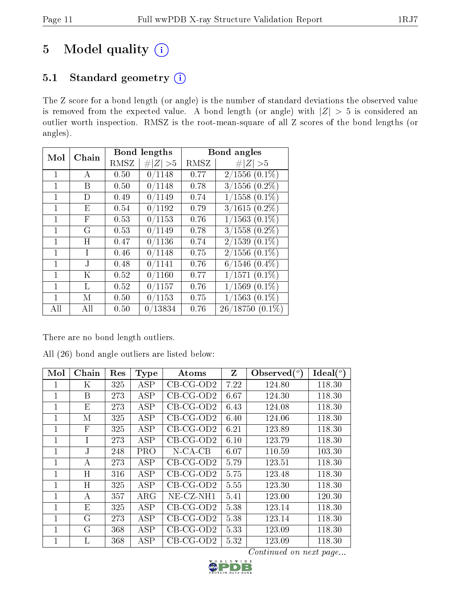# 5 Model quality  $(i)$

## 5.1 Standard geometry (i)

The Z score for a bond length (or angle) is the number of standard deviations the observed value is removed from the expected value. A bond length (or angle) with  $|Z| > 5$  is considered an outlier worth inspection. RMSZ is the root-mean-square of all Z scores of the bond lengths (or angles).

| Mol          | Chain |      | Bond lengths |      | Bond angles        |
|--------------|-------|------|--------------|------|--------------------|
|              |       | RMSZ | # $ Z  > 5$  | RMSZ | # $ Z  > 5$        |
| $\mathbf{1}$ | А     | 0.50 | 0/1148       | 0.77 | $2/1556(0.1\%)$    |
| 1            | Β     | 0.50 | 0/1148       | 0.78 | $3/1556$ $(0.2\%)$ |
| $\mathbf{1}$ | D     | 0.49 | 0/1149       | 0.74 | $1/1558$ $(0.1\%)$ |
| 1            | Ε     | 0.54 | 0/1192       | 0.79 | $3/1615(0.2\%)$    |
| 1            | F     | 0.53 | 0/1153       | 0.76 | $1/1563$ $(0.1\%)$ |
|              | G     | 0.53 | 0/1149       | 0.78 | $3/1558$ $(0.2\%)$ |
| $\mathbf{1}$ | H     | 0.47 | 0/1136       | 0.74 | $2/1539(0.1\%)$    |
| 1            | T     | 0.46 | 0/1148       | 0.75 | $2/1556(0.1\%)$    |
| $\mathbf{1}$ | J.    | 0.48 | 0/1141       | 0.76 | $6/1546$ $(0.4\%)$ |
| 1            | K     | 0.52 | 0/1160       | 0.77 | $1/1571(0.1\%)$    |
| $\mathbf{1}$ | L     | 0.52 | 0/1157       | 0.76 | $1/1569$ $(0.1\%)$ |
| 1            | М     | 0.50 | 0/1153       | 0.75 | $(1563)(0.1\%)$    |
| All          | All   | 0.50 | 0/13834      | 0.76 | $26/18750(0.1\%)$  |

There are no bond length outliers.

| All (26) bond angle outliers are listed below: |  |  |  |  |  |  |  |  |
|------------------------------------------------|--|--|--|--|--|--|--|--|
|------------------------------------------------|--|--|--|--|--|--|--|--|

| Mol         | Chain        | Res | <b>Type</b> | Atoms        | Z    | Observed $(°)$ | Ideal $(°)$ |
|-------------|--------------|-----|-------------|--------------|------|----------------|-------------|
|             | Κ            | 325 | ASP         | $CB-CG-OD2$  | 7.22 | 124.80         | 118.30      |
| 1           | B            | 273 | <b>ASP</b>  | $CB-CG-OD2$  | 6.67 | 124.30         | 118.30      |
| 1           | E            | 273 | ASP         | $CB-CG-OD2$  | 6.43 | 124.08         | 118.30      |
| 1           | М            | 325 | <b>ASP</b>  | $CB-CG-OD2$  | 6.40 | 124.06         | 118.30      |
| 1           | $\mathbf{F}$ | 325 | ASP         | $CB-CG-OD2$  | 6.21 | 123.89         | 118.30      |
| 1           | T            | 273 | ASP         | $CB-CG-OD2$  | 6.10 | 123.79         | 118.30      |
| 1           | J.           | 248 | <b>PRO</b>  | $N$ -CA-CB   | 6.07 | 110.59         | 103.30      |
| 1           | А            | 273 | <b>ASP</b>  | $CB-CG-OD2$  | 5.79 | 123.51         | 118.30      |
| 1           | H            | 316 | <b>ASP</b>  | $CB-CG-OD2$  | 5.75 | 123.48         | 118.30      |
| 1           | H            | 325 | <b>ASP</b>  | $CB-CG-OD2$  | 5.55 | 123.30         | 118.30      |
| $\mathbf 1$ | А            | 357 | $\rm{ARG}$  | $NE$ -CZ-NH1 | 5.41 | 123.00         | 120.30      |
| 1           | E            | 325 | ASP         | $CB-CG-OD2$  | 5.38 | 123.14         | 118.30      |
| 1           | $\rm G$      | 273 | <b>ASP</b>  | $CB-CG-OD2$  | 5.38 | 123.14         | 118.30      |
| 1           | G            | 368 | ASP         | $CB-CG-OD2$  | 5.33 | 123.09         | 118.30      |
| 1           | L            | 368 | ASP         | $CB-CG-OD2$  | 5.32 | 123.09         | 118.30      |

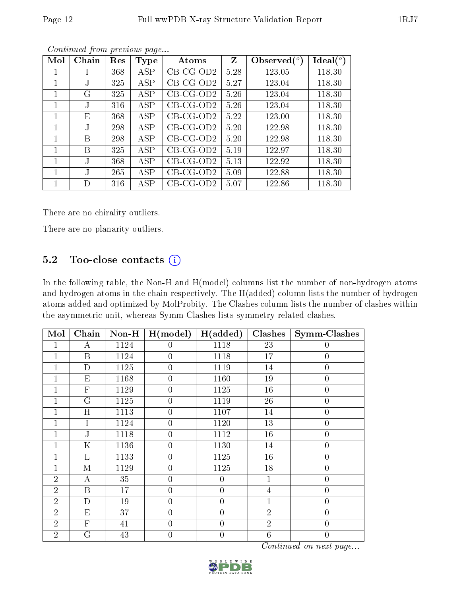|--|--|--|

| Mol | Chain           | Res | <b>Type</b> | Atoms       | Z    | Observed $(°)$ | Ideal $(°)$ |
|-----|-----------------|-----|-------------|-------------|------|----------------|-------------|
|     |                 | 368 | <b>ASP</b>  | $CB-CG-OD2$ | 5.28 | 123.05         | 118.30      |
| 1   | $J_{\parallel}$ | 325 | ASP         | $CB-CG-OD2$ | 5.27 | 123.04         | 118.30      |
| 1   | G               | 325 | ASP         | $CB-CG-OD2$ | 5.26 | 123.04         | 118.30      |
| 1   | $\rm J$         | 316 | ASP         | $CB-CG-OD2$ | 5.26 | 123.04         | 118.30      |
| 1   | Ε               | 368 | ASP         | $CB-CG-OD2$ | 5.22 | 123.00         | 118.30      |
| 1   | $\mathbf{J}$    | 298 | ASP         | $CB-CG-OD2$ | 5.20 | 122.98         | 118.30      |
| 1   | В               | 298 | ASP         | $CB-CG-OD2$ | 5.20 | 122.98         | 118.30      |
| 1   | В               | 325 | ASP         | $CB-CG-OD2$ | 5.19 | 122.97         | 118.30      |
| 1   | J.              | 368 | ASP         | $CB-CG-OD2$ | 5.13 | 122.92         | 118.30      |
| 1   | $\mathbf{J}$    | 265 | ASP         | $CB-CG-OD2$ | 5.09 | 122.88         | 118.30      |
|     | D               | 316 | ASP         | $CB-CG-OD2$ | 5.07 | 122.86         | 118.30      |

There are no chirality outliers.

There are no planarity outliers.

#### 5.2 Too-close contacts  $(i)$

In the following table, the Non-H and H(model) columns list the number of non-hydrogen atoms and hydrogen atoms in the chain respectively. The H(added) column lists the number of hydrogen atoms added and optimized by MolProbity. The Clashes column lists the number of clashes within the asymmetric unit, whereas Symm-Clashes lists symmetry related clashes.

| Mol            | Chain                   |      | Non-H   $H(model)$   $H(added)$ |                | <b>Clashes</b> | <b>Symm-Clashes</b> |
|----------------|-------------------------|------|---------------------------------|----------------|----------------|---------------------|
| 1              | А                       | 1124 | $\theta$                        | 1118           | 23             | 0                   |
| 1              | $\boldsymbol{B}$        | 1124 | $\overline{0}$                  | 1118           | 17             | $\overline{0}$      |
| 1              | $\mathbf D$             | 1125 | $\overline{0}$                  | 1119           | 14             | $\boldsymbol{0}$    |
| $\mathbf 1$    | E                       | 1168 | $\overline{0}$                  | 1160           | 19             | $\overline{0}$      |
| $\mathbf{1}$   | $\overline{F}$          | 1129 | $\overline{0}$                  | 1125           | 16             | $\overline{0}$      |
| $\mathbf 1$    | $\overline{\mathrm{G}}$ | 1125 | $\overline{0}$                  | 1119           | 26             | $\overline{0}$      |
| 1              | H                       | 1113 | $\overline{0}$                  | 1107           | 14             | $\overline{0}$      |
| 1              | I                       | 1124 | $\overline{0}$                  | 1120           | 13             | $\overline{0}$      |
| 1              | ${\bf J}$               | 1118 | $\boldsymbol{0}$                | 1112           | 16             | $\boldsymbol{0}$    |
| 1              | $\mathbf K$             | 1136 | $\boldsymbol{0}$                | 1130           | 14             | $\boldsymbol{0}$    |
| $\overline{1}$ | L                       | 1133 | $\boldsymbol{0}$                | 1125           | 16             | $\overline{0}$      |
| $\mathbf{1}$   | $\mathbf{M}$            | 1129 | $\overline{0}$                  | 1125           | 18             | $\boldsymbol{0}$    |
| $\overline{2}$ | А                       | 35   | $\overline{0}$                  | $\overline{0}$ | $\mathbf{1}$   | $\boldsymbol{0}$    |
| $\overline{2}$ | $\boldsymbol{B}$        | 17   | $\overline{0}$                  | $\overline{0}$ | $\overline{4}$ | $\boldsymbol{0}$    |
| $\overline{2}$ | $\mathbf D$             | 19   | $\overline{0}$                  | $\overline{0}$ | $\mathbf{1}$   | $\overline{0}$      |
| $\overline{2}$ | E                       | 37   | $\theta$                        | $\overline{0}$ | $\overline{2}$ | $\overline{0}$      |
| $\overline{2}$ | ${\bf F}$               | 41   | $\overline{0}$                  | $\overline{0}$ | $\overline{2}$ | $\boldsymbol{0}$    |
| $\overline{2}$ | Ġ                       | 43   | $\overline{0}$                  | $\overline{0}$ | $\,6$          | $\overline{0}$      |

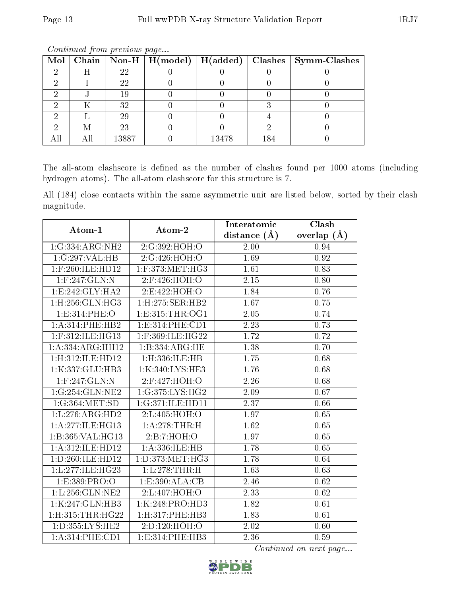| Mol |   |       | Chain   Non-H   $H (model)$ | $\mid$ H(added) $\mid$ |     | Clashes   Symm-Clashes |
|-----|---|-------|-----------------------------|------------------------|-----|------------------------|
| ച   | Η | 22    |                             |                        |     |                        |
|     |   | 22    |                             |                        |     |                        |
|     |   | 19    |                             |                        |     |                        |
|     |   | 32    |                             |                        |     |                        |
|     |   | 29    |                             |                        |     |                        |
|     |   | 23    |                             |                        |     |                        |
|     |   | 13887 |                             | 13478                  | 184 |                        |

The all-atom clashscore is defined as the number of clashes found per 1000 atoms (including hydrogen atoms). The all-atom clashscore for this structure is 7.

All (184) close contacts within the same asymmetric unit are listed below, sorted by their clash magnitude.

| Atom-1                         | Atom-2                                  | Interatomic       | Clash         |
|--------------------------------|-----------------------------------------|-------------------|---------------|
|                                |                                         | distance $(\AA)$  | overlap $(A)$ |
| 1:G:334:ARG:NH2                | 2:G:392:HOH:O                           | 2.00              | 0.94          |
| 1:G:297:VAL:HB                 | 2:G:426:HOH:O                           | 1.69              | 0.92          |
| 1:F:260:ILE:HD12               | $1:$ F:373:MET:HG3                      | 1.61              | 0.83          |
| 1:F:247:GLN:N                  | 2:F:426:HOH:O                           | 2.15              | 0.80          |
| 1:E:242:GLY:HAZ                | 2:E:422:HOH:O                           | 1.84              | 0.76          |
| 1: H: 256: GLN: HG3            | $1:$ H $:275:$ SER $:$ HB $2$           | 1.67              | 0.75          |
| 1:E:314:PHE:O                  | 1: E: 315: THR: OG1                     | 2.05              | 0.74          |
| 1:A:314:PHE:HB2                | 1:E:314:PHE:CD1                         | 2.23              | 0.73          |
| $1:$ F:312:ILE:HG13            | 1:F:369:ILE:HG22                        | 1.72              | 0.72          |
| 1:A:334:ARG:HH12               | 1:B:334:ARG:HE                          | 1.38              | 0.70          |
| 1:H:312:ILE:HD12               | 1:H:336:ILE:HB                          | 1.75              | 0.68          |
| 1:K:337:GLU:HB3                | 1:K:340:LYS:HE3                         | 1.76              | 0.68          |
| $1:$ F:247:GLN:N               | 2:F:427:HOH:O                           | 2.26              | 0.68          |
| 1:G:254:GLN:NE2                | 1:G:375:LYS:HG2                         | 2.09              | 0.67          |
| 1:G:364:MET:SD                 | 1:G:371:ILE:HD11                        | 2.37              | 0.66          |
| 1: L: 276: ARG: HD2            | 2:L:405:HOH:O                           | 1.97              | 0.65          |
| 1:A:277:ILE:HG13               | 1:A:278:THR:H                           | $\overline{1.62}$ | 0.65          |
| $1:B:365:\overline{VAL}:HG13$  | 2:B:7:HOH:O                             | 1.97              | 0.65          |
| 1: A:312: ILE: HD12            | 1: A: 336: ILE: HB                      | 1.78              | 0.65          |
| 1: D: 260: ILE: HD12           | 1: D: 373: MET:HG3                      | 1.78              | 0.64          |
| 1:L:277:ILE:HG23               | 1:L:278:THR:H                           | 1.63              | 0.63          |
| 1:E:389:PRO:O                  | $1: E: 390: \overline{\mathrm{ALA:CB}}$ | 2.46              | 0.62          |
| 1:L:256:GLN:NE2                | 2:L:407:HOH:O                           | 2.33              | 0.62          |
| 1:K:247:GLN:HB3                | 1:K:248:PRO:HD3                         | 1.82              | 0.61          |
| $1:$ H $:315:$ THR $:$ H $G22$ | 1: H:317: PHE:HB3                       | 1.83              | 0.61          |
| 1: D: 355: LYS: HE2            | 2:D:120:HOH:O                           | 2.02              | 0.60          |
| 1: A:314: PHE:CD1              | 1:E:314:PHE:HB3                         | 2.36              | 0.59          |

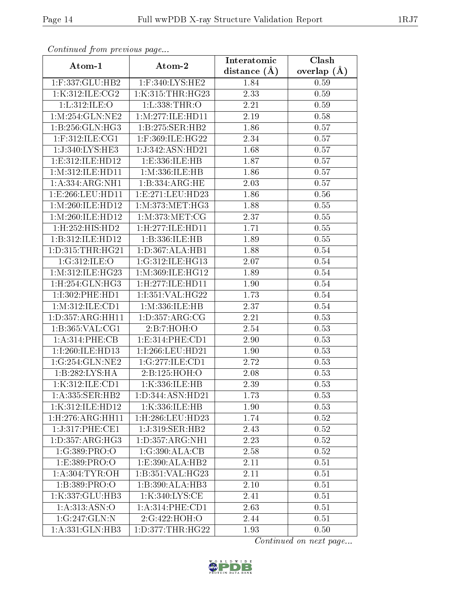| Continuea from previous page   |                                | Interatomic    | Clash         |
|--------------------------------|--------------------------------|----------------|---------------|
| Atom-1                         | Atom-2                         | distance $(A)$ | overlap $(A)$ |
| 1:F:337:GLU:HB2                | 1:F:340:LYS:HE2                | 1.84           | 0.59          |
| 1:K:312:ILE:CG2                | 1:K:315:THR:HG23               | 2.33           | 0.59          |
| 1: L:312: ILE: O               | 1: L: 338: THR:O               | 2.21           | 0.59          |
| 1:M:254:GLN:NE2                | 1: M: 277: ILE: HD11           | 2.19           | 0.58          |
| 1:B:256:GLN:HG3                | 1:B:275:SER:HB2                | 1.86           | 0.57          |
| $1:$ F:312:ILE:CG1             | $1:$ F:369:ILE:HG22            | 2.34           | 0.57          |
| 1:J:340:LYS:HE3                | 1:J:342:ASN:HD21               | 1.68           | 0.57          |
| 1:E:312:ILE:HD12               | 1:E:336:ILE:HB                 | 1.87           | 0.57          |
| 1: M:312: ILE: HD11            | 1:M:336:ILE:HB                 | 1.86           | 0.57          |
| 1: A: 334: ARG: NH1            | 1: B: 334: ARG: HE             | 2.03           | 0.57          |
| 1:E:266:LEU:HD11               | 1:E:271:LEU:HD23               | 1.86           | 0.56          |
| 1: M:260: ILE: HD12            | 1: M:373:MET:HG3               | 1.88           | 0.55          |
| 1: M:260: ILE: HD12            | 1: M: 373: MET: CG             | 2.37           | 0.55          |
| 1: H: 252: HIS: HD2            | 1:H:277:ILE:HD11               | 1.71           | 0.55          |
| 1:B:312:ILE:HD12               | 1:B:336:ILE:HB                 | 1.89           | 0.55          |
| $\overline{1:D}$ :315:THR:HG21 | 1: D: 367: ALA: HB1            | 1.88           | 0.54          |
| 1:G:312:ILE:O                  | 1:G:312:ILE:HG13               | 2.07           | 0.54          |
| 1: M:312: ILE: HG23            | 1:M:369:ILE:HG12               | 1.89           | 0.54          |
| 1:H:254:GLN:HG3                | 1:H:277:ILE:HD11               | 1.90           | 0.54          |
| 1:1:302:PHE:HD1                | 1:1:351:VAL:HG22               | 1.73           | 0.54          |
| 1:M:312:ILE:CD1                | 1:M:336:ILE:HB                 | 2.37           | 0.54          |
| 1: D: 357: ARG: HH11           | 1: D: 357: ARG: CG             | 2.21           | 0.53          |
| 1:B:365:VAL:CG1                | 2:B:7:HOH:O                    | 2.54           | 0.53          |
| 1: A:314:PHE:CB                | 1: E: 314: PHE: CD1            | 2.90           | 0.53          |
| 1:I:260:ILE:HD13               | 1:I:266:LEU:HD21               | 1.90           | 0.53          |
| 1:G:254:GLN:NE2                | 1:G:277:ILE:CD1                | 2.72           | 0.53          |
| 1:B:282:LYS:HA                 | 2:B:125:HOH:O                  | 2.08           | 0.53          |
| 1:K:312:ILE:CD1                | 1:K:336:ILE:HB                 | 2.39           | 0.53          |
| 1: A: 335: SER: HB2            | 1:D:344:ASN:HD21               | 1.73           | 0.53          |
| 1:K:312:ILE:HD12               | 1:K:336:ILE:HB                 | 1.90           | 0.53          |
| 1: H: 276: ARG: HH11           | $1:$ H $:286:$ LEU $:$ HD $23$ | 1.74           | 0.52          |
| 1:J:317:PHE:CE1                | 1:J:319:SER:HB2                | 2.43           | 0.52          |
| 1: D: 357: ARG: HG3            | 1: D: 357: ARG: NH1            | 2.23           | 0.52          |
| 1:G:389:PRO:O                  | 1:G:390:ALA:CB                 | 2.58           | 0.52          |
| 1:E:389:PRO:O                  | 1:E:390:ALA:HB2                | 2.11           | 0.51          |
| 1: A:304:TYR:OH                | 1:B:351:VAL:HG23               | 2.11           | 0.51          |
| 1:B:389:PRO:O                  | 1:B:390:ALA:HB3                | 2.10           | 0.51          |
| 1:K:337:GLU:HB3                | 1:K:340:LYS:CE                 | 2.41           | 0.51          |
| 1: A:313:ASN:O                 | 1: A:314: PHE:CD1              | 2.63           | 0.51          |
| 1:G:247:GLN:N                  | 2:G:422:HOH:O                  | 2.44           | 0.51          |
| 1:A:331:GLN:HB3                | 1: D: 377: THR: HG22           | 1.93           | 0.50          |

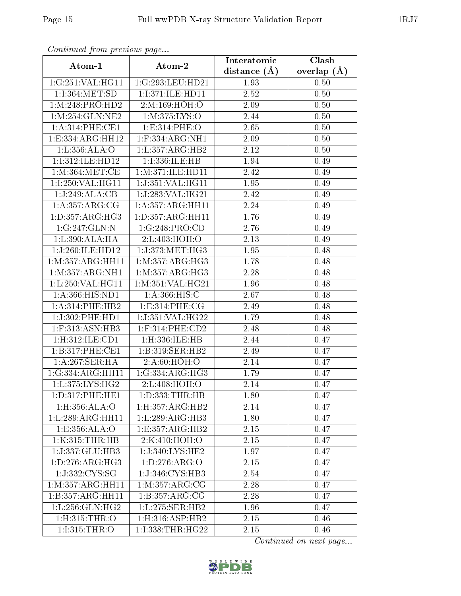| Continuea from previous page |                       | Interatomic       | Clash           |
|------------------------------|-----------------------|-------------------|-----------------|
| Atom-1                       | Atom-2                | distance $(A)$    | overlap $(\AA)$ |
| 1:G:251:VAL:HG11             | 1:G:293:LEU:HD21      | 1.93              | 0.50            |
| 1:I:364:MET:SD               | 1:I:371:ILE:HD11      | 2.52              | 0.50            |
| 1: M:248: PRO:HD2            | 2:M:169:HOH:O         | 2.09              | 0.50            |
| 1:M:254:GLN:NE2              | 1:M:375:LYS:O         | 2.44              | 0.50            |
| 1:A:314:PHE:CE1              | 1:E:314:PHE:O         | 2.65              | 0.50            |
| 1:E:334:ARG:HH12             | $1:$ F:334:ARG:NH $1$ | 2.09              | 0.50            |
| 1: L: 356: ALA:O             | 1:L:357:ARG:HB2       | 2.12              | 0.50            |
| 1:I:312:ILE:HD12             | 1:I:336:ILE:HB        | $\overline{1.94}$ | 0.49            |
| 1:M:364:MET:CE               | 1: M:371: ILE: HDI1   | 2.42              | 0.49            |
| 1:1:250:VAL:HG11             | 1:J:351:VAL:HG11      | 1.95              | 0.49            |
| 1:J:249:ALA:CB               | 1:J:283:VAL:HG21      | 2.42              | 0.49            |
| 1:A:357:ARG:CG               | 1: A: 357: ARG: HH11  | 2.24              | 0.49            |
| 1: D: 357: ARG: HG3          | 1:D:357:ARG:HH11      | 1.76              | 0.49            |
| 1:G:247:GLN:N                | 1:G:248:PRO:CD        | 2.76              | 0.49            |
| 1:L:390:ALA:HA               | 2:L:403:HOH:O         | 2.13              | 0.49            |
| 1:J:260:ILE:HD12             | 1:J:373:MET:HG3       | 1.95              | 0.48            |
| 1:M:357:ARG:HH11             | 1:M:357:ARG:HG3       | 1.78              | 0.48            |
| 1: M: 357: ARG: NH1          | 1: M: 357: ARG: HG3   | 2.28              | 0.48            |
| 1:L:250:VAL:HG11             | 1: M:351: VAL:HG21    | 1.96              | 0.48            |
| 1:A:366:HIS:ND1              | 1: A:366: HIS:C       | 2.67              | 0.48            |
| 1:A:314:PHE:HB2              | 1:E:314:PHE:CG        | 2.49              | 0.48            |
| 1:J:302:PHE:HD1              | 1:J:351:VAL:HG22      | 1.79              | 0.48            |
| $1:$ F:313:ASN:HB3           | $1:$ F:314:PHE:CD2    | 2.48              | 0.48            |
| 1:H:312:ILE:CD1              | 1:H:336:ILE:HB        | 2.44              | 0.47            |
| 1:B:317:PHE:CE1              | 1:B:319:SER:HB2       | 2.49              | 0.47            |
| 1:A:267:SER:HA               | 2:A:60:HOH:O          | 2.14              | 0.47            |
| 1:G:334:ARG:HH11             | 1:G:334:ARG:HG3       | $\overline{1.79}$ | 0.47            |
| 1:L:375:LYS:HG2              | 2:L:408:HOH:O         | 2.14              | 0.47            |
| 1: D: 317: PHE: HE1          | 1: D: 333: THR: HB    | 1.80              | 0.47            |
| 1: H: 356: ALA: O            | 1: H: 357: ARG: HB2   | 2.14              | 0.47            |
| 1:L:289:ARG:HH11             | 1:L:289:ARG:HB3       | 1.80              | 0.47            |
| 1: E: 356: ALA: O            | 1:E:357:ARG:HB2       | 2.15              | 0.47            |
| 1:K:315:THR:HB               | 2:K:410:HOH:O         | 2.15              | 0.47            |
| 1:J:337:GLU:HB3              | 1:J:340:LYS:HE2       | 1.97              | 0.47            |
| 1: D: 276: ARG: HG3          | 1:D:276:ARG:O         | 2.15              | 0.47            |
| 1:J:332:CYS:SG               | 1:J:346:CYS:HB3       | 2.54              | 0.47            |
| 1: M: 357: ARG: HH11         | 1: M: 357: ARG: CG    | 2.28              | 0.47            |
| 1:B:357:ARG:HH11             | 1:B:357:ARG:CG        | 2.28              | 0.47            |
| 1: L: 256: GLN: HG2          | 1: L: 275: SER: HB2   | 1.96              | 0.47            |
| 1:H:315:THR:O                | 1:H:316:ASP:HB2       | 2.15              | 0.46            |
| 1:I:315:THR:O                | 1:I:338:THR:HG22      | 2.15              | 0.46            |

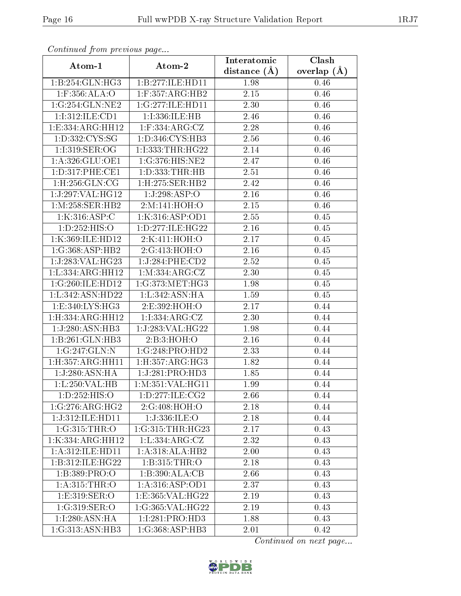| Continuea from previous page |                               | Interatomic       | Clash           |
|------------------------------|-------------------------------|-------------------|-----------------|
| Atom-1                       | Atom-2                        | distance $(A)$    | overlap $(\AA)$ |
| 1:B:254:GLN:HG3              | 1:B:277:ILE:HD11              | 1.98              | 0.46            |
| $1:$ F:356:ALA:O             | $1:$ F:357:ARG:HB2            | 2.15              | 0.46            |
| 1:G:254:GLN:NE2              | 1:G:277:ILE:HD11              | 2.30              | 0.46            |
| 1:I:312:ILE:CD1              | 1:I:336:ILE:HB                | 2.46              | 0.46            |
| 1:E:334:ARG:HH12             | $1:$ F:334:ARG:CZ             | 2.28              | 0.46            |
| 1:D:332:CYS:SG               | 1:D:346:CYS:HB3               | 2.56              | 0.46            |
| $1:1:319:$ SER:OG            | 1:I:333:THR:HG22              | 2.14              | 0.46            |
| 1:A:326:GLU:OE1              | 1:G:376:HIS:NE2               | 2.47              | 0.46            |
| 1: D: 317: PHE: CE1          | 1: D: 333: THR: HB            | 2.51              | 0.46            |
| 1:H:256:GLN:CG               | $1:$ H $:275:$ SER $:$ HB $2$ | 2.42              | 0.46            |
| 1:J:297:VAL:HG12             | 1:J:298:ASP:O                 | 2.16              | 0.46            |
| 1: M:258: SER: HB2           | 2:M:141:HOH:O                 | 2.15              | 0.46            |
| 1:K:316:ASP:C                | 1:K:316:ASP:OD1               | 2.55              | 0.45            |
| 1: D: 252: HIS: O            | 1:D:277:ILE:HG22              | 2.16              | 0.45            |
| 1:K:369:ILE:HD12             | 2:K:411:HOH:O                 | 2.17              | 0.45            |
| 1:G:368:ASP:HB2              | 2:G:413:HOH:O                 | 2.16              | 0.45            |
| 1:J:283:VAL:HG23             | 1:J:284:PHE:CD2               | 2.52              | 0.45            |
| 1:L:334:ARG:HH12             | 1: M: 334: ARG: CZ            | 2.30              | 0.45            |
| 1:G:260:ILE:HD12             | 1:G:373:MET:HG3               | $\overline{1}.98$ | 0.45            |
| 1:L:342:ASN:HD22             | 1:L:342:ASN:HA                | 1.59              | 0.45            |
| 1:E:340:LYS:HG3              | 2:E:392:HOH:O                 | 2.17              | 0.44            |
| 1:H:334:ARG:HH12             | 1:1:334:ARG:CZ                | 2.30              | 0.44            |
| 1:J:280:ASN:HB3              | 1:J:283:VAL:HG22              | 1.98              | 0.44            |
| 1:B:261:GLN:HB3              | 2:B:3:HOH:O                   | 2.16              | 0.44            |
| 1:G:247:GLN:N                | 1:G:248:PRO:HD2               | 2.33              | 0.44            |
| 1:H:357:ARG:HH11             | 1: H: 357: ARG: HG3           | 1.82              | 0.44            |
| 1:J:280:ASN:HA               | 1:J:281:PRO:HD3               | 1.85              | 0.44            |
| 1: L: 250: VAL: HB           | 1: M:351: VAL:HGI1            | 1.99              | 0.44            |
| 1: D: 252: HIS: O            | 1:D:277:ILE:CG2               | 2.66              | 0.44            |
| 1:G:276:ARG:HG2              | 2:G:408:HOH:O                 | 2.18              | 0.44            |
| 1:J:312:ILE:HD11             | 1:J:336:ILE:O                 | 2.18              | 0.44            |
| 1:G:315:THR:O                | 1:G:315:THR:HG23              | 2.17              | 0.43            |
| 1:K:334:ARG:HH12             | 1: L: 334: ARG: CZ            | 2.32              | 0.43            |
| 1: A:312: ILE: HD11          | 1:A:318:ALA:HB2               | 2.00              | 0.43            |
| 1:B:312:ILE:HG22             | 1:B:315:THR:O                 | 2.18              | 0.43            |
| 1:B:389:PRO:O                | 1:B:390:ALA:CB                | 2.66              | 0.43            |
| 1: A:315:THR:O               | 1: A:316: ASP:OD1             | 2.37              | 0.43            |
| 1:E:319:SER:O                | 1:E:365:VAL:HG22              | 2.19              | 0.43            |
| 1:G:319:SER:O                | 1:G:365:VAL:HG22              | 2.19              | 0.43            |
| 1:I:280:ASN:HA               | 1:I:281:PRO:HD3               | 1.88              | 0.43            |
| 1:G:313:ASN:HB3              | 1:G:368:ASP:HB3               | 2.01              | 0.42            |

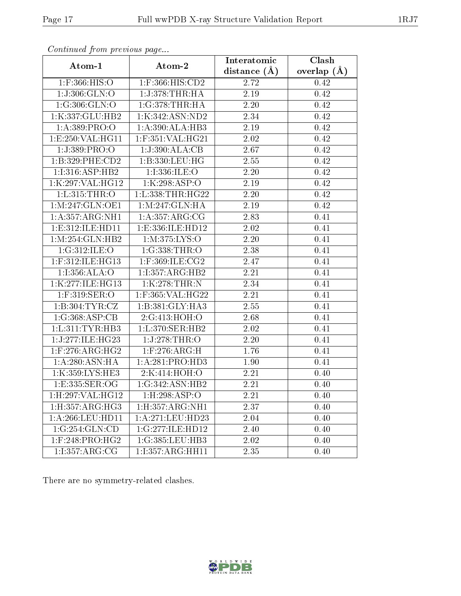| contentava promo provisão pago   |                     | Interatomic       | Clash           |
|----------------------------------|---------------------|-------------------|-----------------|
| Atom-1                           | Atom-2              | distance $(\AA)$  | overlap $(\AA)$ |
| 1:F:366:HIS:O                    | 1:F:366:HIS:CD2     | 2.72              | 0.42            |
| 1:J:306:GLN:O                    | 1:J:378:THR:HA      | 2.19              | 0.42            |
| 1:G:306:GLN:O                    | 1:G:378:THR:HA      | 2.20              | 0.42            |
| 1:K:337:GLU:HB2                  | 1:K:342:ASN:ND2     | 2.34              | 0.42            |
| 1:A:389:PRO:O                    | 1:A:390:ALA:HB3     | 2.19              | 0.42            |
| 1: E: 250: VAL:HGI1              | 1:F:351:VAL:HG21    | 2.02              | 0.42            |
| 1:J:389:PRO:O                    | 1:J:390:ALA:CB      | 2.67              | 0.42            |
| 1:B:329:PHE:CD2                  | 1:B:330:LEU:HG      | 2.55              | 0.42            |
| 1:I:316:ASP:HB2                  | 1:1:336:1LE:O       | 2.20              | 0.42            |
| 1:K:297:VAL:HG12                 | 1:K:298:ASP:O       | 2.19              | 0.42            |
| 1:L:315:THR:O                    | 1:L:338:THR:HG22    | 2.20              | 0.42            |
| 1: M:247: GLN:OE1                | 1: M:247: GLN: HA   | $\overline{2.19}$ | 0.42            |
| 1: A: 357: ARG: NH1              | 1: A: 357: ARG: CG  | 2.83              | 0.41            |
| 1:E:312:ILE:HD11                 | 1:E:336:ILE:HD12    | $\overline{2}.02$ | 0.41            |
| 1:M:254:GLN:HB2                  | 1: M: 375: LYS: O   | 2.20              | 0.41            |
| 1:G:312:ILE:O                    | 1:G:338:THR:O       | 2.38              | 0.41            |
| $1:$ F:312:ILE:HG13              | $1:$ F:369:ILE:CG2  | 2.47              | 0.41            |
| 1:I:356:ALA:O                    | 1:1:357:ARG:HB2     | 2.21              | 0.41            |
| 1:K:277:ILE:HG13                 | 1:K:278:THR:N       | 2.34              | 0.41            |
| 1:F:319:SER:O                    | 1:F:365:VAL:HG22    | 2.21              | 0.41            |
| 1:B:304:TYR:CZ                   | 1:B:381:GLY:HA3     | 2.55              | 0.41            |
| 1:G:368:ASP:CB                   | 2:G:413:HOH:O       | 2.68              | 0.41            |
| 1: L:311: TYR:HB3                | 1: L:370: SER: HB2  | 2.02              | 0.41            |
| 1:J:277:ILE:HG23                 | 1:J:278:THR:O       | 2.20              | 0.41            |
| $1:$ F:276:ARG:HG2               | $1:$ F:276:ARG:H    | 1.76              | 0.41            |
| 1: A:280: ASN: HA                | 1:A:281:PRO:HD3     | 1.90              | 0.41            |
| 1:K:359:LYS:HE3                  | 2:K:414:HOH:O       | 2.21              | 0.40            |
| 1:E:335:SER:OG                   | 1:G:342:ASN:HB2     | 2.21              | 0.40            |
| 1:H:297:VAL:HG12                 | 1:H:298:ASP:O       | 2.21              | 0.40            |
| 1: H: 357: ARG: HG3              | 1: H: 357: ARG: NH1 | 2.37              | 0.40            |
| 1:A:266:LEU:HD11                 | 1:A:271:LEU:HD23    | 2.04              | 0.40            |
| 1:G:254:GLN:CD                   | 1:G:277:ILE:HD12    | 2.40              | 0.40            |
| $1:$ F:248:PRO: $\overline{HG2}$ | 1:G:385:LEU:HB3     | 2.02              | 0.40            |
| 1:1:357:ARG:CG                   | 1:I:357:ARG:HH11    | 2.35              | 0.40            |

There are no symmetry-related clashes.

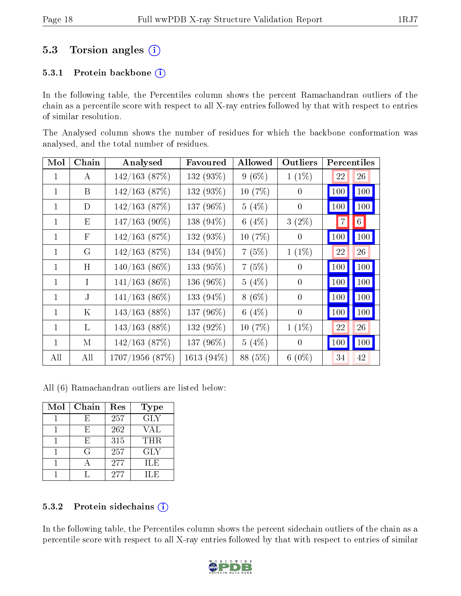### 5.3 Torsion angles  $(i)$

#### 5.3.1 Protein backbone (i)

In the following table, the Percentiles column shows the percent Ramachandran outliers of the chain as a percentile score with respect to all X-ray entries followed by that with respect to entries of similar resolution.

The Analysed column shows the number of residues for which the backbone conformation was analysed, and the total number of residues.

| Mol          | Chain        | Analysed         | Favoured   | <b>Allowed</b> | Outliers |     | Percentiles    |
|--------------|--------------|------------------|------------|----------------|----------|-----|----------------|
| 1            | A            | $142/163$ (87%)  | 132 (93%)  | $9(6\%)$       | $1(1\%)$ | 22  | 26             |
| 1            | B            | $142/163$ (87%)  | 132 (93%)  | 10(7%)         | 0        | 100 | 100            |
| $\mathbf{1}$ | D            | $142/163$ (87\%) | 137 (96%)  | 5(4%)          | $\theta$ | 100 | 100            |
| 1            | Ε            | $147/163$ (90%)  | 138 (94%)  | 6 $(4%)$       | $3(2\%)$ | 7   | $6\phantom{.}$ |
| 1            | $\mathbf{F}$ | $142/163$ (87\%) | 132 (93%)  | 10(7%)         | 0        | 100 | 100            |
| $\mathbf{1}$ | G            | $142/163$ (87%)  | 134 (94%)  | 7(5%)          | $1(1\%)$ | 22  | 26             |
| 1            | H            | $140/163$ (86\%) | 133 (95%)  | 7(5%)          | 0        | 100 | 100            |
| 1            | L            | $141/163$ (86%)  | 136 (96%)  | $5(4\%)$       | $\theta$ | 100 | 100            |
| 1            | J.           | $141/163$ (86%)  | 133 (94%)  | $8(6\%)$       | $\theta$ | 100 | 100            |
| 1            | Κ            | $143/163$ (88%)  | 137 (96%)  | 6 $(4%)$       | $\theta$ | 100 | 100            |
| 1            | L            | $143/163$ (88%)  | 132 (92%)  | 10(7%)         | $1(1\%)$ | 22  | 26             |
| 1            | М            | $142/163$ (87%)  | 137 (96%)  | $5(4\%)$       | $\theta$ | 100 | 100            |
| All          | All          | 1707/1956 (87%)  | 1613 (94%) | 88 (5%)        | $6(0\%)$ | 34  | 42             |

All (6) Ramachandran outliers are listed below:

| Mol | Chain | Res | <b>Type</b>             |
|-----|-------|-----|-------------------------|
|     | F,    | 257 | $\overline{\text{GLY}}$ |
|     | Н,    | 262 | VAL                     |
|     | Н,    | 315 | <b>THR</b>              |
|     | G     | 257 | <b>GLY</b>              |
|     |       | 277 | ILE                     |
|     |       | 277 | H.E                     |

#### 5.3.2 Protein sidechains (i)

In the following table, the Percentiles column shows the percent sidechain outliers of the chain as a percentile score with respect to all X-ray entries followed by that with respect to entries of similar

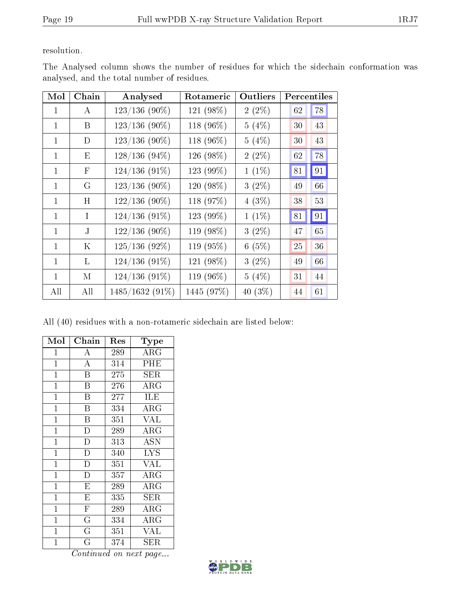resolution.

| Mol          | Chain   | Analysed        | Rotameric  | Outliers | Percentiles |
|--------------|---------|-----------------|------------|----------|-------------|
| 1            | A       | $123/136$ (90%) | 121 (98%)  | $2(2\%)$ | 78<br>62    |
| 1            | B       | $123/136$ (90%) | 118 (96%)  | $5(4\%)$ | 43<br>30    |
| 1            | D       | $123/136$ (90%) | 118 (96%)  | $5(4\%)$ | 43<br>30    |
| 1            | E       | $128/136(94\%)$ | 126 (98%)  | $2(2\%)$ | 78<br>62    |
| 1            | F       | $124/136(91\%)$ | 123 (99%)  | $1(1\%)$ | 91<br>81    |
| 1            | G       | $123/136$ (90%) | 120 (98%)  | $3(2\%)$ | 49<br>66    |
| 1            | H       | $122/136$ (90%) | 118 (97%)  | $4(3\%)$ | 53<br>38    |
| 1            | T       | $124/136(91\%)$ | 123 (99%)  | $1(1\%)$ | 91<br>81    |
| $\mathbf{1}$ | J.      | $122/136$ (90%) | 119 (98%)  | $3(2\%)$ | 65<br>47    |
| $\mathbf{1}$ | $\rm K$ | $125/136$ (92%) | 119 (95%)  | 6(5%)    | 25<br>36    |
| 1            | L       | $124/136(91\%)$ | 121 (98%)  | $3(2\%)$ | 66<br>49    |
| 1            | М       | $124/136(91\%)$ | 119 (96%)  | 5(4%)    | 31<br>44    |
| All          | All     | 1485/1632 (91%) | 1445 (97%) | 40 (3%)  | 61<br>44    |

The Analysed column shows the number of residues for which the sidechain conformation was analysed, and the total number of residues.

All (40) residues with a non-rotameric sidechain are listed below:

| Mol            | Chain                   | $\operatorname{Res}% \left( \mathcal{N}\right) \equiv\operatorname{Res}(\mathcal{N}_{0})\cap\mathcal{N}_{1}$ | Type                |
|----------------|-------------------------|--------------------------------------------------------------------------------------------------------------|---------------------|
| $\mathbf 1$    | А                       | 289                                                                                                          | $\rm{ARG}$          |
| $\mathbf{1}$   | A                       | 314                                                                                                          | PHE                 |
| $\mathbf{1}$   | $\overline{B}$          | 275                                                                                                          | SER                 |
| $\mathbf{1}$   | $\overline{B}$          | 276                                                                                                          | $\rm{ARG}$          |
| $\mathbf 1$    | B                       | 277                                                                                                          | <b>ILE</b>          |
| $\overline{1}$ | $\overline{\mathrm{B}}$ | 334                                                                                                          | $\rm{ARG}$          |
| $\overline{1}$ | B                       | 351                                                                                                          | <b>VAL</b>          |
| $\mathbf{1}$   | $\overline{\rm D}$      | 289                                                                                                          | $\rm{ARG}$          |
| $\mathbf{1}$   | $\overline{D}$          | 313                                                                                                          | <b>ASN</b>          |
| $\mathbf{1}$   | $\mathbf D$             | 340                                                                                                          | <b>LYS</b>          |
| $\mathbf{1}$   | $\overline{\mathrm{D}}$ | 351                                                                                                          | <b>VAL</b>          |
| $\mathbf{1}$   | D                       | 357                                                                                                          | $\rm{ARG}$          |
| $\mathbf{1}$   | $\overline{\mathrm{E}}$ | 289                                                                                                          | $\rm{ARG}$          |
| $\mathbf{1}$   | E                       | 335                                                                                                          | SER                 |
| $\mathbf{1}$   | $\mathbf F$             | 289                                                                                                          | $\rm{ARG}$          |
| $\mathbf{1}$   | $\overline{\mathrm{G}}$ | 334                                                                                                          | $\rm\overline{A}RG$ |
| $\mathbf 1$    | $\overline{G}$          | 351                                                                                                          | <b>VAL</b>          |
| $\mathbf 1$    | G                       | 374                                                                                                          | ${\rm SER}$         |

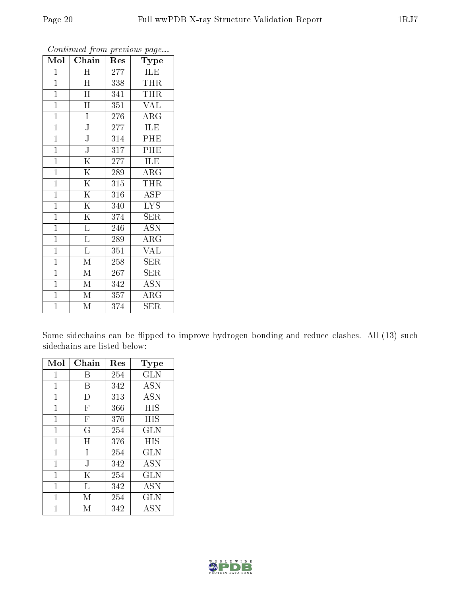| Mol            | Chain                   | Res              | 1 <sup>- 1</sup> - 1<br>Type |
|----------------|-------------------------|------------------|------------------------------|
| $\mathbf 1$    | $H_{\rm}$               | 277              | ILE                          |
| $\mathbf{1}$   | H                       | 338              | <b>THR</b>                   |
| $\overline{1}$ | $\overline{\rm H}$      | 341              | <b>THR</b>                   |
| $\overline{1}$ | $\overline{\text{H}}$   | 351              | <b>VAL</b>                   |
| $\overline{1}$ | Ī                       | 276              | ARG                          |
| $\mathbf{1}$   | ${\bf J}$               | 277              | ILE                          |
| $\overline{1}$ | $\overline{\rm J}$      | 314              | PHE                          |
| $\mathbf{1}$   | $\overline{\text{J}}$   | 317              | PHE                          |
| $\mathbf{1}$   | $\overline{\mathrm{K}}$ | 277              | <b>ILE</b>                   |
| $\mathbf{1}$   | $\overline{\mathrm{K}}$ | 289              | $\rm{ARG}$                   |
| $\mathbf{1}$   | $\overline{\mathrm{K}}$ | 315              | THR                          |
| $\overline{1}$ | $\overline{\mathrm{K}}$ | 316              | ASP                          |
| $\mathbf{1}$   | $\overline{\mathrm{K}}$ | 340              | <b>LYS</b>                   |
| $\mathbf{1}$   | $\overline{\mathrm{K}}$ | 374              | <b>SER</b>                   |
| $\mathbf{1}$   | Г                       | 246              | $\operatorname{ASN}$         |
| $\mathbf{1}$   | L                       | 289              | ARG                          |
| $\mathbf{1}$   | $\overline{\mathrm{L}}$ | 351              | <b>VAL</b>                   |
| $\overline{1}$ | $\mathbf{M}$            | 258              | <b>SER</b>                   |
| $\mathbf{1}$   | $\mathbf{M}$            | 267              | <b>SER</b>                   |
| $\mathbf{1}$   | М                       | 342              | <b>ASN</b>                   |
| $\overline{1}$ | $\mathbf{M}$            | $\overline{3}57$ | $\rm{ARG}$                   |
| $\overline{1}$ | $\overline{\mathrm{M}}$ | 374              | $\overline{\text{SER}}$      |

Some sidechains can be flipped to improve hydrogen bonding and reduce clashes. All (13) such sidechains are listed below:

| Mol            | Chain                     | Res | Type       |
|----------------|---------------------------|-----|------------|
| $\mathbf{1}$   | В                         | 254 | GLN        |
| $\mathbf{1}$   | В                         | 342 | <b>ASN</b> |
| $\overline{1}$ | D                         | 313 | <b>ASN</b> |
| $\mathbf{1}$   | $\boldsymbol{\mathrm{F}}$ | 366 | <b>HIS</b> |
| 1              | $\mathbf{F}$              | 376 | HIS        |
| 1              | G                         | 254 | GLN        |
| 1              | H                         | 376 | HIS        |
| $\mathbf{1}$   | Ι                         | 254 | <b>GLN</b> |
| 1              | J                         | 342 | <b>ASN</b> |
| 1              | K                         | 254 | <b>GLN</b> |
| 1              | Τ,                        | 342 | <b>ASN</b> |
| 1              | М                         | 254 | <b>GLN</b> |
| 1              | М                         | 342 | <b>ASN</b> |

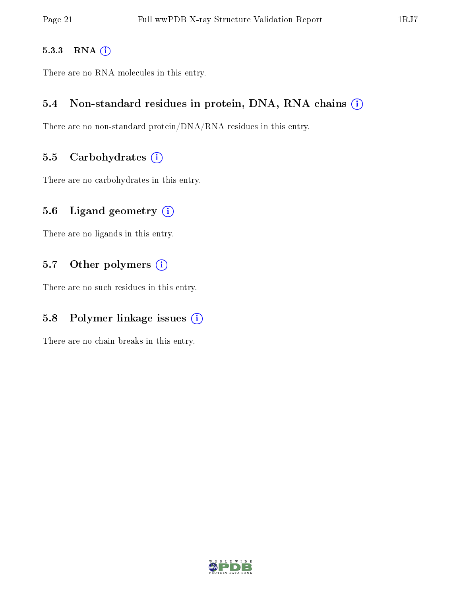#### 5.3.3 RNA [O](https://www.wwpdb.org/validation/2017/XrayValidationReportHelp#rna)i

There are no RNA molecules in this entry.

#### 5.4 Non-standard residues in protein, DNA, RNA chains (i)

There are no non-standard protein/DNA/RNA residues in this entry.

#### 5.5 Carbohydrates  $(i)$

There are no carbohydrates in this entry.

#### 5.6 Ligand geometry  $(i)$

There are no ligands in this entry.

#### 5.7 [O](https://www.wwpdb.org/validation/2017/XrayValidationReportHelp#nonstandard_residues_and_ligands)ther polymers (i)

There are no such residues in this entry.

### 5.8 Polymer linkage issues  $(i)$

There are no chain breaks in this entry.

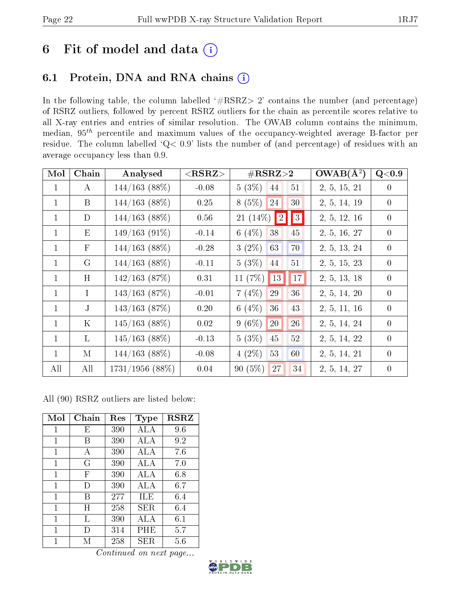## 6 Fit of model and data  $(i)$

### 6.1 Protein, DNA and RNA chains  $(i)$

In the following table, the column labelled  $#RSRZ> 2'$  contains the number (and percentage) of RSRZ outliers, followed by percent RSRZ outliers for the chain as percentile scores relative to all X-ray entries and entries of similar resolution. The OWAB column contains the minimum, median,  $95<sup>th</sup>$  percentile and maximum values of the occupancy-weighted average B-factor per residue. The column labelled ' $Q< 0.9$ ' lists the number of (and percentage) of residues with an average occupancy less than 0.9.

| Mol          | Chain        | Analysed          | ${ <\hspace{-1.5pt}{\mathrm{RSRZ}} \hspace{-1.5pt}>}$ | $\#\text{RSRZ}\text{>2}$              | $OWAB(A^2)$  | Q< 0.9         |
|--------------|--------------|-------------------|-------------------------------------------------------|---------------------------------------|--------------|----------------|
| $\mathbf{1}$ | $\bf{A}$     | 144/163(88%)      | $-0.08$                                               | $5(3\%)$<br>51<br>44                  | 2, 5, 15, 21 | $\theta$       |
| $\mathbf{1}$ | B            | $144/163$ (88%)   | 0.25                                                  | $8(5\%)$<br>24<br>30                  | 2, 5, 14, 19 | $\overline{0}$ |
| $\mathbf{1}$ | D            | $144/163$ (88%)   | 0.56                                                  | $\vert\vert 3 \vert$<br>21 (14\%)   2 | 2, 5, 12, 16 | $\overline{0}$ |
| $\mathbf{1}$ | E            | $149/163(91\%)$   | $-0.14$                                               | 6 $(4%)$<br>38<br>45                  | 2, 5, 16, 27 | $\overline{0}$ |
| $\mathbf{1}$ | $\mathbf{F}$ | $144/163$ (88%)   | $-0.28$                                               | 70<br>$3(2\%)$<br>63                  | 2, 5, 13, 24 | $\theta$       |
| $\mathbf{1}$ | $\mathcal G$ | $144/163$ (88\%)  | $-0.11$                                               | 5(3%)<br>44<br>51                     | 2, 5, 15, 23 | $\overline{0}$ |
| $\mathbf{1}$ | H            | $142/163$ (87%)   | 0.31                                                  | 11 $(7\%)$<br><sup>13</sup><br>17     | 2, 5, 13, 18 | $\theta$       |
| $\mathbf{1}$ | $\mathbf I$  | $143/163$ (87\%)  | $-0.01$                                               | 7(4%)<br>29<br>36                     | 2, 5, 14, 20 | $\theta$       |
| $\mathbf{1}$ | $\mathbf{J}$ | $143/163$ (87\%)  | 0.20                                                  | 6 $(4\%)$<br>36<br>43                 | 2, 5, 11, 16 | $\overline{0}$ |
| $\mathbf{1}$ | K            | $145/163$ (88%)   | 0.02                                                  | $9(6\%)$<br>26<br>20                  | 2, 5, 14, 24 | $\overline{0}$ |
| $\mathbf{1}$ | L            | $145/163$ (88%)   | $-0.13$                                               | 5(3%)<br>$52\,$<br>45                 | 2, 5, 14, 22 | $\theta$       |
| $\mathbf{1}$ | M            | $144/163$ (88\%)  | $-0.08$                                               | $4(2\%)$<br>60<br>53                  | 2, 5, 14, 21 | $\theta$       |
| All          | All          | $1731/1956$ (88%) | 0.04                                                  | 90(5%)<br>27<br>34                    | 2, 5, 14, 27 | $\theta$       |

All (90) RSRZ outliers are listed below:

| Mol          | Chain | Res | Type | <b>RSRZ</b> |
|--------------|-------|-----|------|-------------|
| 1            | Е     | 390 | ALA  | 9.6         |
| 1            | В     | 390 | ALA  | 9.2         |
| 1            | А     | 390 | ALA  | 7.6         |
| 1            | G     | 390 | ALA  | 7.0         |
| 1            | F     | 390 | ALA  | 6.8         |
| $\mathbf{1}$ | I)    | 390 | ALA  | 6.7         |
| 1            | В     | 277 | ILE  | 6.4         |
| 1            | Η     | 258 | SER. | 6.4         |
| 1            | L     | 390 | ALA  | 6.1         |
| 1            | Ð     | 314 | PHE  | 5.7         |
| 1            | М     | 258 | SER. | 5.6         |

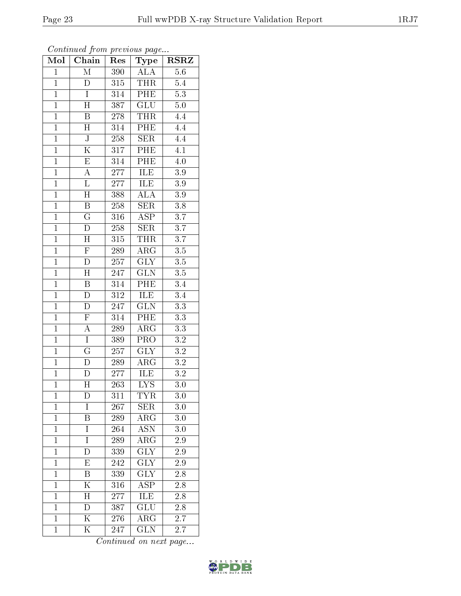|                | Continued from previous page |                  |                          |                                 |
|----------------|------------------------------|------------------|--------------------------|---------------------------------|
| Mol            | Chain                        | Res              | Type                     | $\overline{\text{R}}\text{SRZ}$ |
| $\mathbf{1}$   | $\overline{\mathbf{M}}$      | 390              | <b>ALA</b>               | 5.6                             |
| $\overline{1}$ | D                            | 315              | THR                      | 5.4                             |
| $\mathbf{1}$   | $\overline{I}$               | 314              | PHE                      | $\overline{5.3}$                |
| $\mathbf{1}$   | H                            | 387              | GLU                      | $5.0\,$                         |
| $\overline{1}$ | $\overline{\mathrm{B}}$      | $\overline{2}78$ | <b>THR</b>               | 4.4                             |
| $\mathbf{1}$   | $\boldsymbol{\mathrm{H}}$    | 314              | PHE                      | 4.4                             |
| $\overline{1}$ | $\overline{\text{J}}$        | 258              | $\overline{\text{SER}}$  | 4.4                             |
| $\overline{1}$ | $\overline{\mathrm{K}}$      | 317              | PHE                      | 4.1                             |
| $\mathbf{1}$   | $\mathbf E$                  | 314              | PHE                      | 4.0                             |
| $\mathbf{1}$   | A                            | 277              | <b>ILE</b>               | $\overline{3}.9$                |
| $\overline{1}$ | L                            | 277              | ILE                      | $3.9\,$                         |
| $\overline{1}$ | $\overline{\rm H}$           | 388              | $\overline{\rm ALA}$     | $3.9\,$                         |
| $\mathbf{1}$   | B                            | 258              | <b>SER</b>               | 3.8                             |
| $\mathbf 1$    | $\mathbf G$                  | 316              | ASP                      | $\overline{3.7}$                |
| $\mathbf{1}$   | D                            | 258              | SER                      | $\overline{3.7}$                |
| $\mathbf{1}$   | H                            | 315              | <b>THR</b>               | 3.7                             |
| $\mathbf{1}$   | $\overline{\mathrm{F}}$      | 289              | $\overline{\rm{ARG}}$    | $3.5\,$                         |
| $\mathbf 1$    | $\mathbf{D}$                 | 257              | <b>GLY</b>               | $3.5\,$                         |
| $\mathbf{1}$   | H                            | 247              | <b>GLN</b>               | $3.5\,$                         |
| $\mathbf{1}$   | $\overline{\mathbf{B}}$      | 314              | $\overline{PHE}$         | $3.4\,$                         |
| $\overline{1}$ | D                            | 312              | ILE                      | $3.4\,$                         |
| $\overline{1}$ | $\overline{\rm D}$           | 247              | $\overline{\text{GLN}}$  | $\overline{3.3}$                |
| $\mathbf{1}$   | $\overline{F}$               | 314              | PHE                      | 3.3                             |
| $\mathbf{1}$   | A                            | 289              | $\overline{\rm{ARG}}$    | $\overline{3.3}$                |
| $\overline{1}$ | $\overline{I}$               | 389              | PRO                      | 3.2                             |
| $\overline{1}$ | $\overline{\mathrm{G}}$      | 257              | <b>GLY</b>               | $3.2\,$                         |
| $\overline{1}$ | D                            | 289              | $\overline{\rm{ARG}}$    | $\overline{3.2}$                |
| $\overline{1}$ | D                            | 277              | ILE                      | 3.2                             |
| $\overline{1}$ | $\overline{\rm H}$           | $\overline{263}$ | $\overline{\text{LYS}}$  | $\overline{3.0}$                |
| $\mathbf{1}$   | D                            | 311              | <b>TYR</b>               | $3.0\,$                         |
| $\mathbf{1}$   | I                            | 267              | <b>SER</b>               | 3.0                             |
| $\mathbf{1}$   | Β                            | 289              | $\rm{ARG}$               | 3.0                             |
| $\mathbf 1$    | I                            | 264              | <b>ASN</b>               | 3.0                             |
| $\mathbf{1}$   | Ī                            | 289              | $\rm{ARG}$               | 2.9                             |
| $\mathbf{1}$   | D                            | 339              | <b>GLY</b>               | 2.9                             |
| $\mathbf{1}$   | E                            | 242              | $\widetilde{\text{GLY}}$ | 2.9                             |
| $\mathbf{1}$   | B                            | 339              | GLY                      | 2.8                             |
| $\mathbf{1}$   | K                            | 316              | ASP                      | 2.8                             |
| $\mathbf{1}$   | $\boldsymbol{\mathrm{H}}$    | 277              | ILE                      | $\overline{2.8}$                |
| $\mathbf{1}$   | D                            | 387              | GLU                      | 2.8                             |
| $\mathbf{1}$   | $\overline{\rm K}$           | 276              | $\rm{ARG}$               | 2.7                             |
| $\mathbf{1}$   | $\overline{\mathrm{K}}$      | 247              | <b>GLN</b>               | 2.7                             |

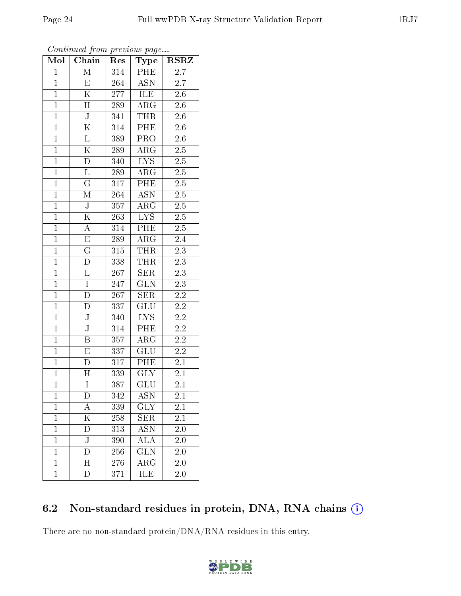| Mol            | ${\bf Chain}$             | Res              | Type                      | <b>RSRZ</b>      |
|----------------|---------------------------|------------------|---------------------------|------------------|
| $\overline{1}$ | $\overline{\mathbf{M}}$   | 314              | PHE                       | $\overline{2.7}$ |
| $\mathbf{1}$   | E                         | 264              | $\overline{ASN}$          | 2.7              |
| $\overline{1}$ | $\overline{\rm K}$        | 277              | ILE                       | $\overline{2.6}$ |
| $\overline{1}$ | $\mathbf H$               | 289              | $\rm{ARG}$                | $2.6\,$          |
| $\overline{1}$ | $\overline{\text{J}}$     | 341              | <b>THR</b>                | 2.6              |
| $\overline{1}$ | $\overline{\mathrm{K}}$   | 314              | PHE                       | $2.6\,$          |
| $\overline{1}$ | $\Gamma$                  | 389              | PRO                       | 2.6              |
| $\mathbf{1}$   | $\overline{\mathrm{K}}$   | 289              | $AR\overline{G}$          | $2.\overline{5}$ |
| $\mathbf{1}$   | $\overline{\rm D}$        | 340              | LYS                       | $2.5\,$          |
| $\overline{1}$ | $\overline{\mathrm{L}}$   | 289              | $\rm{ARG}$                | $\overline{2.5}$ |
| $\mathbf{1}$   | $\overline{\mathrm{G}}$   | 317              | PHE                       | $2.5\,$          |
| $\overline{1}$ | $\overline{\mathrm{M}}$   | $\overline{264}$ | $\overline{\mathrm{ASN}}$ | $\overline{2.5}$ |
| $\mathbf{1}$   | $\overline{\mathsf{J}}$   | 357              | $\rm{ARG}$                | 2.5              |
| $\overline{1}$ | $\overline{\mathrm{K}}$   | 263              | IYS                       | $2.5\,$          |
| $\mathbf{1}$   | $\overline{A}$            | 314              | $\overline{\text{PHE}}$   | 2.5              |
| $\overline{1}$ | $\overline{\mathrm{E}}$   | 289              | $AR\overline{G}$          | $\overline{2}.4$ |
| $\overline{1}$ | $\overline{\mathrm{G}}$   | 315              | <b>THR</b>                | $\overline{2.3}$ |
| $\overline{1}$ | $\overline{\rm D}$        | 338              | <b>THR</b>                | $\overline{2.3}$ |
| $\mathbf{1}$   | L                         | 267              | SER                       | $2.3\,$          |
| $\overline{1}$ | $\overline{I}$            | 247              | $\overline{\text{GLN}}$   | $\overline{2.3}$ |
| $\overline{1}$ | D                         | 267              | <b>SER</b>                | $2.2\,$          |
| $\overline{1}$ | D                         | 337              | $\overline{\text{GLU}}$   | $\overline{2.2}$ |
| $\mathbf{1}$   | $\bf J$                   | 340              | $LY\overline{S}$          | $2.2\,$          |
| $\overline{1}$ | $\overline{\text{J}}$     | $\overline{314}$ | PHE                       | $\overline{2.2}$ |
| $\overline{1}$ | $\overline{\mathrm{B}}$   | 357              | $\rm{ARG}$                | $\overline{2.2}$ |
| $\overline{1}$ | $\mathbf E$               | 337              | $\overline{\mathrm{GLU}}$ | $2.2\,$          |
| $\mathbf{1}$   | $\overline{\rm D}$        | 317              | PHE                       | $\overline{2.1}$ |
| $\mathbf{1}$   | H                         | 339              | <b>GLY</b>                | 2.1              |
| $\overline{1}$ | $\overline{I}$            | 387              | $\overline{\text{GLU}}$   | 2.1              |
| 1              | D                         | 342              | ${\rm ASN}$               | $2.1\,$          |
| $\overline{1}$ | А                         | 339              | <b>GLY</b>                | 2.1              |
| $\mathbf{1}$   | $\overline{\mathrm{K}}$   | 258              | <b>SER</b>                | 2.1              |
| $\mathbf{1}$   | D                         | 313              | ASN                       | 2.0              |
| $\mathbf{1}$   | $\overline{\rm J}$        | 390              | ALA                       | $2.0\,$          |
| $\mathbf{1}$   | D                         | 256              | $\overline{\text{GLN}}$   | 2.0              |
| $\mathbf{1}$   | $\boldsymbol{\mathrm{H}}$ | 276              | $\rm{ARG}$                | 2.0              |
| $\mathbf{1}$   | D                         | 371              | ILE                       | $\overline{2.0}$ |

| Continued from previous page |  |  |
|------------------------------|--|--|
|                              |  |  |

## 6.2 Non-standard residues in protein, DNA, RNA chains (i)

There are no non-standard protein/DNA/RNA residues in this entry.